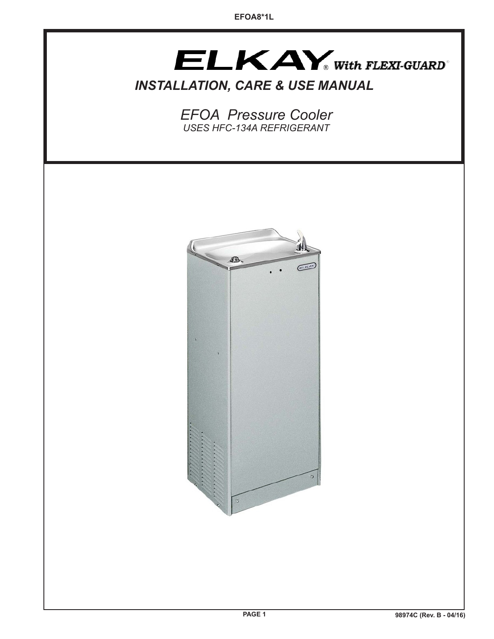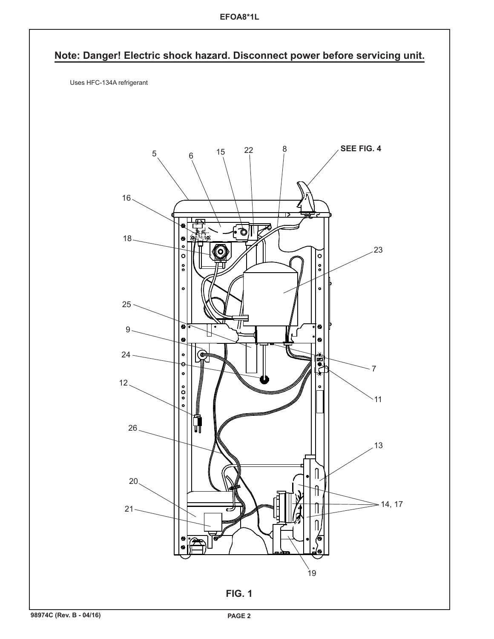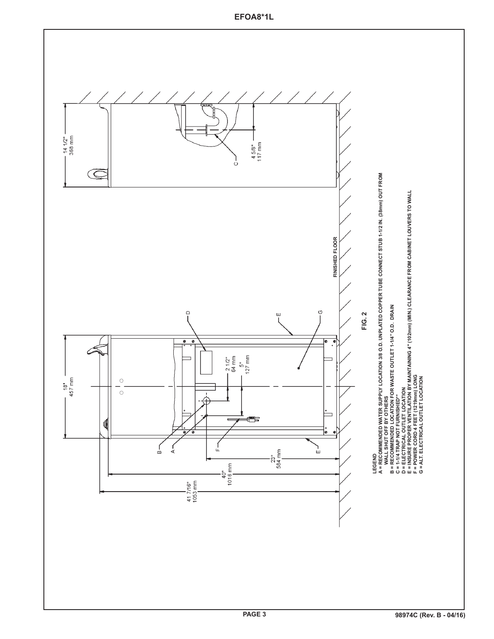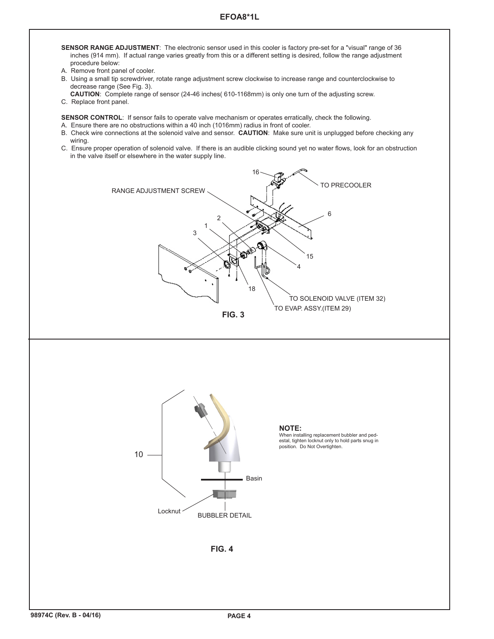## **EFOA8\*1L**

- **SENSOR RANGE ADJUSTMENT**: The electronic sensor used in this cooler is factory pre-set for a "visual" range of 36 inches (914 mm). If actual range varies greatly from this or a different setting is desired, follow the range adjustment procedure below:
- A. Remove front panel of cooler.
- B. Using a small tip screwdriver, rotate range adjustment screw clockwise to increase range and counterclockwise to decrease range (See Fig. 3).
- **CAUTION**: Complete range of sensor (24-46 inches( 610-1168mm) is only one turn of the adjusting screw.
- C. Replace front panel.

**SENSOR CONTROL:** If sensor fails to operate valve mechanism or operates erratically, check the following.

- A. Ensure there are no obstructions within a 40 inch (1016mm) radius in front of cooler.
- B. Check wire connections at the solenoid valve and sensor. **CAUTION**: Make sure unit is unplugged before checking any wiring.
- C. Ensure proper operation of solenoid valve. If there is an audible clicking sound yet no water flows, look for an obstruction in the valve itself or elsewhere in the water supply line.